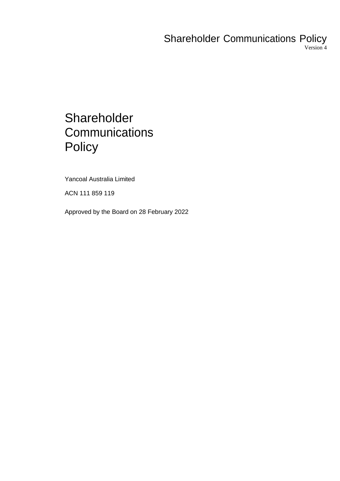# Shareholder Communications Policy Version 4

# **Shareholder Communications Policy**

Yancoal Australia Limited

ACN 111 859 119

Approved by the Board on 28 February 2022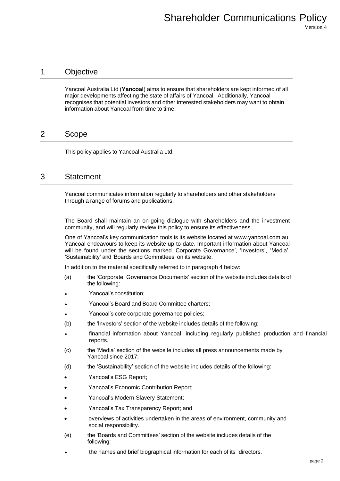# 1 Objective

Yancoal Australia Ltd (**Yancoal**) aims to ensure that shareholders are kept informed of all major developments affecting the state of affairs of Yancoal. Additionally, Yancoal recognises that potential investors and other interested stakeholders may want to obtain information about Yancoal from time to time.

## 2 Scope

This policy applies to Yancoal Australia Ltd.

## 3 Statement

Yancoal communicates information regularly to shareholders and other stakeholders through a range of forums and publications.

The Board shall maintain an on-going dialogue with shareholders and the investment community, and will regularly review this policy to ensure its effectiveness.

One of Yancoal's key communication tools is its website located at www.yancoal.com.au. Yancoal endeavours to keep its website up-to-date. Important information about Yancoal will be found under the sections marked 'Corporate Governance', 'Investors', 'Media', 'Sustainability' and 'Boards and Committees' on its website.

In addition to the material specifically referred to in paragraph 4 below:

- (a) the 'Corporate Governance Documents' section of the website includes details of the following:
- Yancoal's constitution;
- Yancoal's Board and Board Committee charters;
- Yancoal's core corporate governance policies;
- (b) the 'Investors' section of the website includes details of the following:
- financial information about Yancoal, including regularly published production and financial reports.
- (c) the 'Media' section of the website includes all press announcements made by Yancoal since 2017;
- (d) the 'Sustainability' section of the website includes details of the following:
- Yancoal's ESG Report;
- Yancoal's Economic Contribution Report;
- Yancoal's Modern Slavery Statement;
- Yancoal's Tax Transparency Report; and
- overviews of activities undertaken in the areas of environment, community and social responsibility.
- (e) the 'Boards and Committees' section of the website includes details of the following:
- the names and brief biographical information for each of its directors.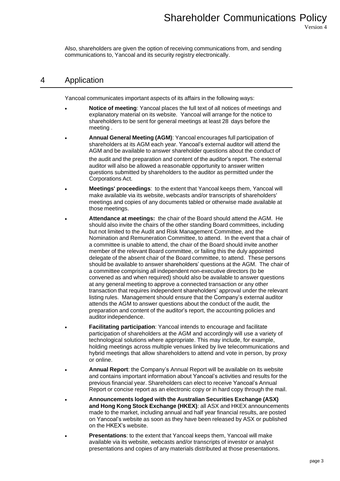Also, shareholders are given the option of receiving communications from, and sending communications to, Yancoal and its security registry electronically.

## 4 Application

Yancoal communicates important aspects of its affairs in the following ways:

- **Notice of meeting**: Yancoal places the full text of all notices of meetings and explanatory material on its website. Yancoal will arrange for the notice to shareholders to be sent for general meetings at least 28 days before the meeting .
- **Annual General Meeting (AGM)**: Yancoal encourages full participation of shareholders at its AGM each year. Yancoal's external auditor will attend the AGM and be available to answer shareholder questions about the conduct of the audit and the preparation and content of the auditor's report. The external auditor will also be allowed a reasonable opportunity to answer written questions submitted by shareholders to the auditor as permitted under the Corporations Act.
- **Meetings' proceedings**: to the extent that Yancoal keeps them, Yancoal will make available via its website, webcasts and/or transcripts of shareholders' meetings and copies of any documents tabled or otherwise made available at those meetings.
- **Attendance at meetings:** the chair of the Board should attend the AGM. He should also invite the chairs of the other standing Board committees, including but not limited to the Audit and Risk Management Committee, and the Nomination and Remuneration Committee, to attend. In the event that a chair of a committee is unable to attend, the chair of the Board should invite another member of the relevant Board committee, or failing this the duly appointed delegate of the absent chair of the Board committee, to attend. These persons should be available to answer shareholders' questions at the AGM. The chair of a committee comprising all independent non-executive directors (to be convened as and when required) should also be available to answer questions at any general meeting to approve a connected transaction or any other transaction that requires independent shareholders' approval under the relevant listing rules. Management should ensure that the Company's external auditor attends the AGM to answer questions about the conduct of the audit, the preparation and content of the auditor's report, the accounting policies and auditor independence.
- **Facilitating participation:** Yancoal intends to encourage and facilitate participation of shareholders at the AGM and accordingly will use a variety of technological solutions where appropriate. This may include, for example, holding meetings across multiple venues linked by live telecommunications and hybrid meetings that allow shareholders to attend and vote in person, by proxy or online.
- **Annual Report**: the Company's Annual Report will be available on its website and contains important information about Yancoal's activities and results for the previous financial year. Shareholders can elect to receive Yancoal's Annual Report or concise report as an electronic copy or in hard copy through the mail.
- **Announcements lodged with the Australian Securities Exchange (ASX) and Hong Kong Stock Exchange (HKEX)**: all ASX and HKEX announcements made to the market, including annual and half year financial results, are posted on Yancoal's website as soon as they have been released by ASX or published on the HKEX's website.
- **Presentations**: to the extent that Yancoal keeps them, Yancoal will make available via its website, webcasts and/or transcripts of investor or analyst presentations and copies of any materials distributed at those presentations.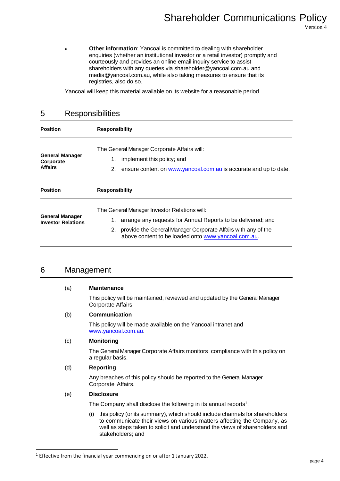• **Other information**: Yancoal is committed to dealing with shareholder enquiries (whether an institutional investor or a retail investor) promptly and courteously and provides an online email inquiry service to assist shareholders with any queries via [shareholder@yancoal.com.au](mailto:shareholder@yancoal.com.au) and [media@yancoal.com.au,](mailto:media@yancoal.com.au) while also taking measures to ensure that its registries, also do so.

Yancoal will keep this material available on its website for a reasonable period.

# 5 Responsibilities

| <b>Position</b>                                       | <b>Responsibility</b>                                                                                                                                                                                                                            |
|-------------------------------------------------------|--------------------------------------------------------------------------------------------------------------------------------------------------------------------------------------------------------------------------------------------------|
| <b>General Manager</b><br>Corporate<br><b>Affairs</b> | The General Manager Corporate Affairs will:<br>implement this policy; and<br>1.<br>ensure content on www.yancoal.com.au is accurate and up to date.<br>2.                                                                                        |
| <b>Position</b>                                       | <b>Responsibility</b>                                                                                                                                                                                                                            |
| <b>General Manager</b><br><b>Investor Relations</b>   | The General Manager Investor Relations will:<br>arrange any requests for Annual Reports to be delivered; and<br>1.<br>provide the General Manager Corporate Affairs with any of the<br>2.<br>above content to be loaded onto www.yancoal.com.au. |

### 6 Management

#### (a) **Maintenance**

This policy will be maintained, reviewed and updated by the General Manager Corporate Affairs.

#### (b) **Communication**

This policy will be made available on the Yancoal intranet and www.yancoal.com.au.

#### (c) **Monitoring**

The General Manager Corporate Affairs monitors compliance with this policy on a regular basis.

#### (d) **Reporting**

Any breaches of this policy should be reported to the General Manager Corporate Affairs.

#### (e) **Disclosure**

The Company shall disclose the following in its annual reports $1$ :

(i) this policy (or its summary), which should include channels for shareholders to communicate their views on various matters affecting the Company, as well as steps taken to solicit and understand the views of shareholders and stakeholders; and

<sup>&</sup>lt;sup>1</sup> Effective from the financial year commencing on or after 1 January 2022.